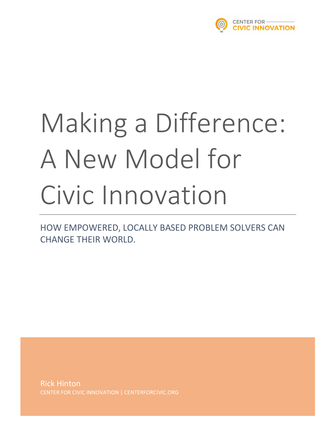

# Making a Difference: A New Model for Civic Innovation

HOW EMPOWERED, LOCALLY BASED PROBLEM SOLVERS CAN CHANGE THEIR WORLD.

Rick Hinton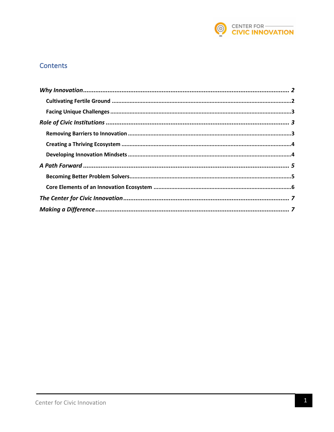

#### **Contents**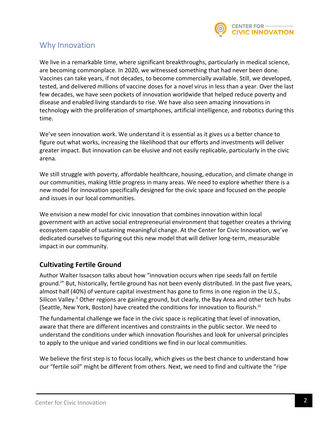

## Why Innovation

We live in a remarkable time, where significant breakthroughs, particularly in medical science, are becoming commonplace. In 2020, we witnessed something that had never been done. Vaccines can take years, if not decades, to become commercially available. Still, we developed, tested, and delivered millions of vaccine doses for a novel virus in less than a year. Over the last few decades, we have seen pockets of innovation worldwide that helped reduce poverty and disease and enabled living standards to rise. We have also seen amazing innovations in technology with the proliferation of smartphones, artificial intelligence, and robotics during this time.

We've seen innovation work. We understand it is essential as it gives us a better chance to figure out what works, increasing the likelihood that our efforts and investments will deliver greater impact. But innovation can be elusive and not easily replicable, particularly in the civic arena.

We still struggle with poverty, affordable healthcare, housing, education, and climate change in our communities, making little progress in many areas. We need to explore whether there is a new model for innovation specifically designed for the civic space and focused on the people and issues in our local communities.

We envision a new model for civic innovation that combines innovation within local government with an active social entrepreneurial environment that together creates a thriving ecosystem capable of sustaining meaningful change. At the Center for Civic Innovation, we've dedicated ourselves to figuring out this new model that will deliver long-term, measurable impact in our community.

## **Cultivating Fertile Ground**

Author Walter Issacson talks about how "innovation occurs when ripe seeds fall on fertile ground.<sup>i</sup>" But, historically, fertile ground has not been evenly distributed. In the past five years, almost half (40%) of venture capital investment has gone to firms in one region in the U.S., Silicon Valley.<sup>ii</sup> Other regions are gaining ground, but clearly, the Bay Area and other tech hubs (Seattle, New York, Boston) have created the conditions for innovation to flourish.<sup>iii</sup>

The fundamental challenge we face in the civic space is replicating that level of innovation, aware that there are different incentives and constraints in the public sector. We need to understand the conditions under which innovation flourishes and look for universal principles to apply to the unique and varied conditions we find in our local communities.

We believe the first step is to focus locally, which gives us the best chance to understand how our "fertile soil" might be different from others. Next, we need to find and cultivate the "ripe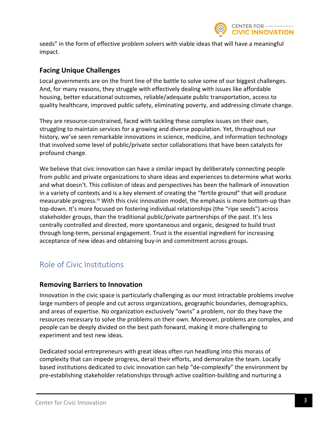

seeds" in the form of effective problem solvers with viable ideas that will have a meaningful impact.

#### **Facing Unique Challenges**

Local governments are on the front line of the battle to solve some of our biggest challenges. And, for many reasons, they struggle with effectively dealing with issues like affordable housing, better educational outcomes, reliable/adequate public transportation, access to quality healthcare, improved public safety, eliminating poverty, and addressing climate change.

They are resource-constrained, faced with tackling these complex issues on their own, struggling to maintain services for a growing and diverse population. Yet, throughout our history, we've seen remarkable innovations in science, medicine, and information technology that involved some level of public/private sector collaborations that have been catalysts for profound change.

We believe that civic innovation can have a similar impact by deliberately connecting people from public and private organizations to share ideas and experiences to determine what works and what doesn't. This collision of ideas and perspectives has been the hallmark of innovation in a variety of contexts and is a key element of creating the "fertile ground" that will produce measurable progress.<sup>iv</sup> With this civic innovation model, the emphasis is more bottom-up than top-down. It's more focused on fostering individual relationships (the "ripe seeds") across stakeholder groups, than the traditional public/private partnerships of the past. It's less centrally controlled and directed, more spontaneous and organic, designed to build trust through long-term, personal engagement. Trust is the essential ingredient for increasing acceptance of new ideas and obtaining buy-in and commitment across groups.

# Role of Civic Institutions

#### **Removing Barriers to Innovation**

Innovation in the civic space is particularly challenging as our most intractable problems involve large numbers of people and cut across organizations, geographic boundaries, demographics, and areas of expertise. No organization exclusively "owns" a problem, nor do they have the resources necessary to solve the problems on their own. Moreover, problems are complex, and people can be deeply divided on the best path forward, making it more challenging to experiment and test new ideas.

Dedicated social entrepreneurs with great ideas often run headlong into this morass of complexity that can impede progress, derail their efforts, and demoralize the team. Locally based institutions dedicated to civic innovation can help "de-complexify" the environment by pre-establishing stakeholder relationships through active coalition-building and nurturing a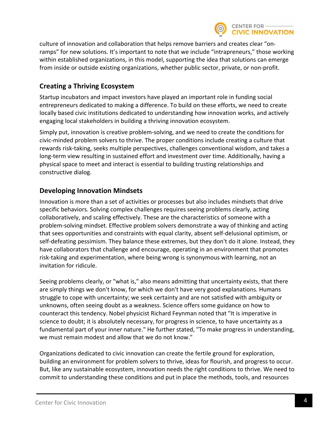

culture of innovation and collaboration that helps remove barriers and creates clear "onramps" for new solutions. It's important to note that we include "intrapreneurs," those working within established organizations, in this model, supporting the idea that solutions can emerge from inside or outside existing organizations, whether public sector, private, or non-profit.

## **Creating a Thriving Ecosystem**

Startup incubators and impact investors have played an important role in funding social entrepreneurs dedicated to making a difference. To build on these efforts, we need to create locally based civic institutions dedicated to understanding how innovation works, and actively engaging local stakeholders in building a thriving innovation ecosystem.

Simply put, innovation is creative problem-solving, and we need to create the conditions for civic-minded problem solvers to thrive. The proper conditions include creating a culture that rewards risk-taking, seeks multiple perspectives, challenges conventional wisdom, and takes a long-term view resulting in sustained effort and investment over time. Additionally, having a physical space to meet and interact is essential to building trusting relationships and constructive dialog.

## **Developing Innovation Mindsets**

Innovation is more than a set of activities or processes but also includes mindsets that drive specific behaviors. Solving complex challenges requires seeing problems clearly, acting collaboratively, and scaling effectively. These are the characteristics of someone with a problem-solving mindset. Effective problem solvers demonstrate a way of thinking and acting that sees opportunities and constraints with equal clarity, absent self-delusional optimism, or self-defeating pessimism. They balance these extremes, but they don't do it alone. Instead, they have collaborators that challenge and encourage, operating in an environment that promotes risk-taking and experimentation, where being wrong is synonymous with learning, not an invitation for ridicule.

Seeing problems clearly, or "what is," also means admitting that uncertainty exists, that there are simply things we don't know, for which we don't have very good explanations. Humans struggle to cope with uncertainty; we seek certainty and are not satisfied with ambiguity or unknowns, often seeing doubt as a weakness. Science offers some guidance on how to counteract this tendency. Nobel physicist Richard Feynman noted that "It is imperative in science to doubt; it is absolutely necessary, for progress in science, to have uncertainty as a fundamental part of your inner nature." He further stated, "To make progress in understanding, we must remain modest and allow that we do not know."

Organizations dedicated to civic innovation can create the fertile ground for exploration, building an environment for problem solvers to thrive, ideas for flourish, and progress to occur. But, like any sustainable ecosystem, innovation needs the right conditions to thrive. We need to commit to understanding these conditions and put in place the methods, tools, and resources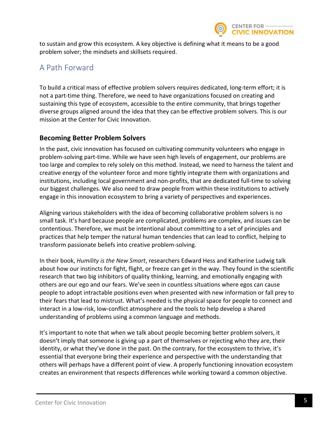

to sustain and grow this ecosystem. A key objective is defining what it means to be a good problem solver; the mindsets and skillsets required.

## A Path Forward

To build a critical mass of effective problem solvers requires dedicated, long-term effort; it is not a part-time thing. Therefore, we need to have organizations focused on creating and sustaining this type of ecosystem, accessible to the entire community, that brings together diverse groups aligned around the idea that they can be effective problem solvers. This is our mission at the Center for Civic Innovation.

#### **Becoming Better Problem Solvers**

In the past, civic innovation has focused on cultivating community volunteers who engage in problem-solving part-time. While we have seen high levels of engagement, our problems are too large and complex to rely solely on this method. Instead, we need to harness the talent and creative energy of the volunteer force and more tightly integrate them with organizations and institutions, including local government and non-profits, that are dedicated full-time to solving our biggest challenges. We also need to draw people from within these institutions to actively engage in this innovation ecosystem to bring a variety of perspectives and experiences.

Aligning various stakeholders with the idea of becoming collaborative problem solvers is no small task. It's hard because people are complicated, problems are complex, and issues can be contentious. Therefore, we must be intentional about committing to a set of principles and practices that help temper the natural human tendencies that can lead to conflict, helping to transform passionate beliefs into creative problem-solving.

In their book, *Humility is the New Smart*, researchers Edward Hess and Katherine Ludwig talk about how our instincts for fight, flight, or freeze can get in the way. They found in the scientific research that two big inhibitors of quality thinking, learning, and emotionally engaging with others are our ego and our fears. We've seen in countless situations where egos can cause people to adopt intractable positions even when presented with new information or fall prey to their fears that lead to mistrust. What's needed is the physical space for people to connect and interact in a low-risk, low-conflict atmosphere and the tools to help develop a shared understanding of problems using a common language and methods.

It's important to note that when we talk about people becoming better problem solvers, it doesn't imply that someone is giving up a part of themselves or rejecting who they are, their identity, or what they've done in the past. On the contrary, for the ecosystem to thrive, it's essential that everyone bring their experience and perspective with the understanding that others will perhaps have a different point of view. A properly functioning innovation ecosystem creates an environment that respects differences while working toward a common objective.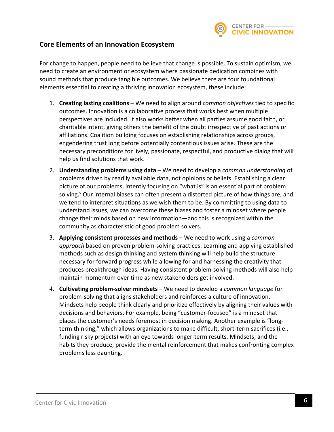

#### **Core Elements of an Innovation Ecosystem**

For change to happen, people need to believe that change is possible. To sustain optimism, we need to create an environment or ecosystem where passionate dedication combines with sound methods that produce tangible outcomes. We believe there are four foundational elements essential to creating a thriving innovation ecosystem, these include:

- 1. **Creating lasting coalitions** We need to align around *common objectives* tied to specific outcomes. Innovation is a collaborative process that works best when multiple perspectives are included. It also works better when all parties assume good faith, or charitable intent, giving others the benefit of the doubt irrespective of past actions or affiliations. Coalition building focuses on establishing relationships across groups, engendering trust long before potentially contentious issues arise. These are the necessary preconditions for lively, passionate, respectful, and productive dialog that will help us find solutions that work.
- 2. **Understanding problems using data** We need to develop a *common understanding* of problems driven by readily available data, not opinions or beliefs. Establishing a clear picture of our problems, intently focusing on "what is" is an essential part of problem solving.<sup>v</sup> Our internal biases can often present a distorted picture of how things are, and we tend to interpret situations as we wish them to be. By committing to using data to understand issues, we can overcome these biases and foster a mindset where people change their minds based on new information—and this is recognized within the community as characteristic of good problem solvers.
- 3. **Applying consistent processes and methods** We need to work using a *common approach* based on proven problem-solving practices. Learning and applying established methods such as design thinking and system thinking will help build the structure necessary for forward progress while allowing for and harnessing the creativity that produces breakthrough ideas. Having consistent problem-solving methods will also help maintain momentum over time as new stakeholders get involved.
- 4. **Cultivating problem-solver mindsets** We need to develop a *common language* for problem-solving that aligns stakeholders and reinforces a culture of innovation. Mindsets help people think clearly and prioritize effectively by aligning their values with decisions and behaviors. For example, being "customer-focused" is a mindset that places the customer's needs foremost in decision making. Another example is "longterm thinking," which allows organizations to make difficult, short-term sacrifices (i.e., funding risky projects) with an eye towards longer-term results. Mindsets, and the habits they produce, provide the mental reinforcement that makes confronting complex problems less daunting.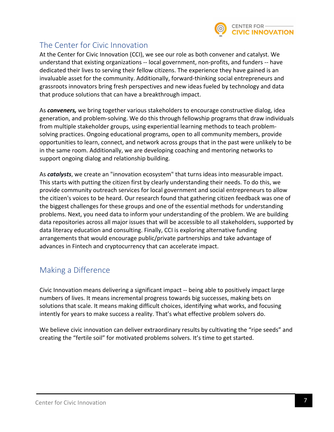

## The Center for Civic Innovation

At the Center for Civic Innovation (CCI), we see our role as both convener and catalyst. We understand that existing organizations -- local government, non-profits, and funders -- have dedicated their lives to serving their fellow citizens. The experience they have gained is an invaluable asset for the community. Additionally, forward-thinking social entrepreneurs and grassroots innovators bring fresh perspectives and new ideas fueled by technology and data that produce solutions that can have a breakthrough impact.

As *conveners,* we bring together various stakeholders to encourage constructive dialog, idea generation, and problem-solving. We do this through fellowship programs that draw individuals from multiple stakeholder groups, using experiential learning methods to teach problemsolving practices. Ongoing educational programs, open to all community members, provide opportunities to learn, connect, and network across groups that in the past were unlikely to be in the same room. Additionally, we are developing coaching and mentoring networks to support ongoing dialog and relationship building.

As *catalysts*, we create an "innovation ecosystem" that turns ideas into measurable impact. This starts with putting the citizen first by clearly understanding their needs. To do this, we provide community outreach services for local government and social entrepreneurs to allow the citizen's voices to be heard. Our research found that gathering citizen feedback was one of the biggest challenges for these groups and one of the essential methods for understanding problems. Next, you need data to inform your understanding of the problem. We are building data repositories across all major issues that will be accessible to all stakeholders, supported by data literacy education and consulting. Finally, CCI is exploring alternative funding arrangements that would encourage public/private partnerships and take advantage of advances in Fintech and cryptocurrency that can accelerate impact.

## Making a Difference

Civic Innovation means delivering a significant impact -- being able to positively impact large numbers of lives. It means incremental progress towards big successes, making bets on solutions that scale. It means making difficult choices, identifying what works, and focusing intently for years to make success a reality. That's what effective problem solvers do.

We believe civic innovation can deliver extraordinary results by cultivating the "ripe seeds" and creating the "fertile soil" for motivated problems solvers. It's time to get started.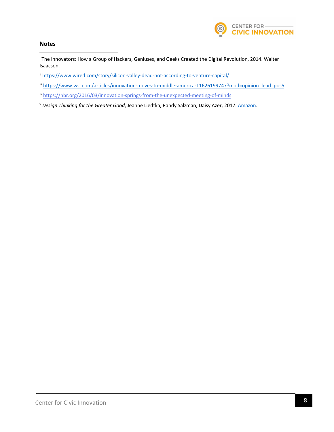

#### **Notes**

<sup>i</sup> The Innovators: How a Group of Hackers, Geniuses, and Geeks Created the Digital Revolution, 2014. Walter Isaacson.

ii https://www.wired.com/story/silicon-valley-dead-not-according-to-venture-capital/

iii https://www.wsj.com/articles/innovation-moves-to-middle-america-11626199747?mod=opinion\_lead\_pos5

iv https://hbr.org/2016/03/innovation-springs-from-the-unexpected-meeting-of-minds

<sup>v</sup> *Design Thinking for the Greater Good*, Jeanne Liedtka, Randy Salzman, Daisy Azer, 2017. Amazon.